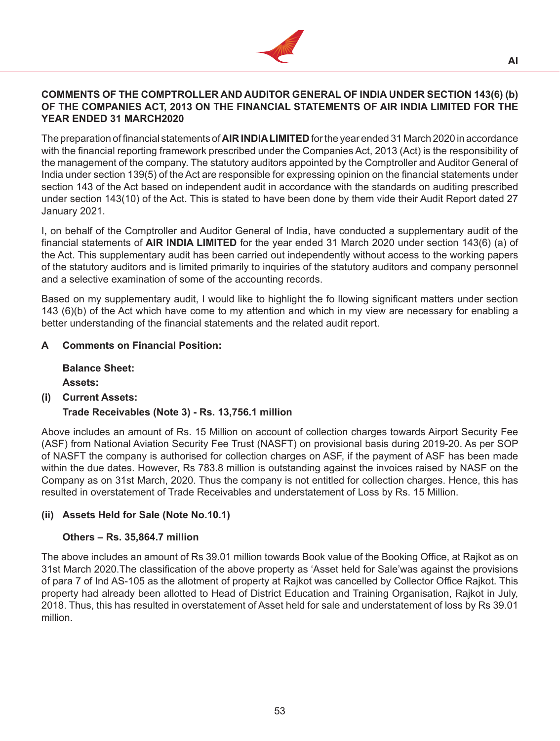

#### **COMMENTS OF THE COMPTROLLER AND AUDITOR GENERAL OF INDIA UNDER SECTION 143(6) (b) OF THE COMPANIES ACT, 2013 ON THE FINANCIAL STATEMENTS OF AIR INDIA LIMITED FOR THE YEAR ENDED 31 MARCH2020**

The preparation of financial statements of **AIR INDIA LIMITED** for the year ended 31 March 2020 in accordance with the financial reporting framework prescribed under the Companies Act, 2013 (Act) is the responsibility of the management of the company. The statutory auditors appointed by the Comptroller and Auditor General of India under section 139(5) of the Act are responsible for expressing opinion on the financial statements under section 143 of the Act based on independent audit in accordance with the standards on auditing prescribed under section 143(10) of the Act. This is stated to have been done by them vide their Audit Report dated 27 January 2021.

I, on behalf of the Comptroller and Auditor General of India, have conducted a supplementary audit of the financial statements of **AIR INDIA LIMITED** for the year ended 31 March 2020 under section 143(6) (a) of the Act. This supplementary audit has been carried out independently without access to the working papers of the statutory auditors and is limited primarily to inquiries of the statutory auditors and company personnel and a selective examination of some of the accounting records.

Based on my supplementary audit, I would like to highlight the fo llowing significant matters under section 143 (6)(b) of the Act which have come to my attention and which in my view are necessary for enabling a better understanding of the financial statements and the related audit report.

### **A Comments on Financial Position:**

**Balance Sheet: Assets:**

**(i) Current Assets:**

### **Trade Receivables (Note 3) - Rs. 13,756.1 million**

Above includes an amount of Rs. 15 Million on account of collection charges towards Airport Security Fee (ASF) from National Aviation Security Fee Trust (NASFT) on provisional basis during 2019-20. As per SOP of NASFT the company is authorised for collection charges on ASF, if the payment of ASF has been made within the due dates. However, Rs 783.8 million is outstanding against the invoices raised by NASF on the Company as on 31st March, 2020. Thus the company is not entitled for collection charges. Hence, this has resulted in overstatement of Trade Receivables and understatement of Loss by Rs. 15 Million.

### **(ii) Assets Held for Sale (Note No.10.1)**

### **Others – Rs. 35,864.7 million**

The above includes an amount of Rs 39.01 million towards Book value of the Booking Office, at Rajkot as on 31st March 2020.The classification of the above property as 'Asset held for Sale'was against the provisions of para 7 of Ind AS-105 as the allotment of property at Rajkot was cancelled by Collector Office Rajkot. This property had already been allotted to Head of District Education and Training Organisation, Rajkot in July, 2018. Thus, this has resulted in overstatement of Asset held for sale and understatement of loss by Rs 39.01 million.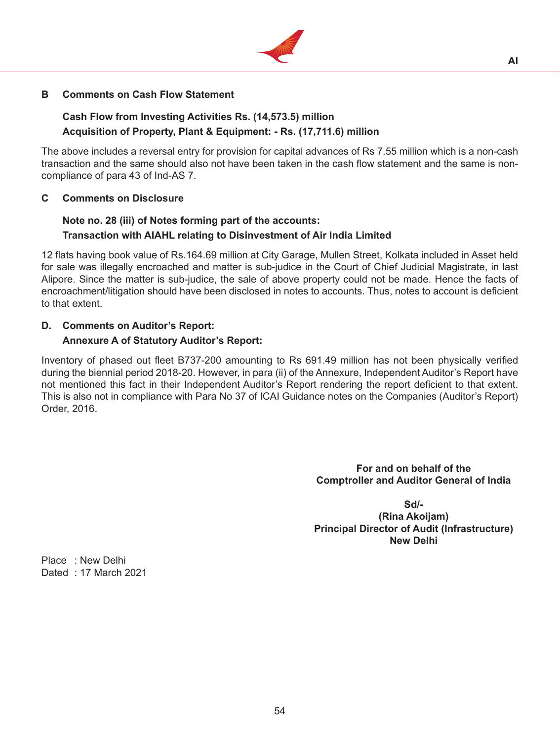

### **B Comments on Cash Flow Statement**

### **Cash Flow from Investing Activities Rs. (14,573.5) million Acquisition of Property, Plant & Equipment: - Rs. (17,711.6) million**

The above includes a reversal entry for provision for capital advances of Rs 7.55 million which is a non-cash transaction and the same should also not have been taken in the cash flow statement and the same is noncompliance of para 43 of Ind-AS 7.

#### **C Comments on Disclosure**

## **Note no. 28 (iii) of Notes forming part of the accounts: Transaction with AIAHL relating to Disinvestment of Air India Limited**

12 flats having book value of Rs.164.69 million at City Garage, Mullen Street, Kolkata included in Asset held for sale was illegally encroached and matter is sub-judice in the Court of Chief Judicial Magistrate, in last Alipore. Since the matter is sub-judice, the sale of above property could not be made. Hence the facts of encroachment/litigation should have been disclosed in notes to accounts. Thus, notes to account is deficient to that extent.

# **D. Comments on Auditor's Report:**

### **Annexure A of Statutory Auditor's Report:**

Inventory of phased out fleet B737-200 amounting to Rs 691.49 million has not been physically verified during the biennial period 2018-20. However, in para (ii) of the Annexure, Independent Auditor's Report have not mentioned this fact in their Independent Auditor's Report rendering the report deficient to that extent. This is also not in compliance with Para No 37 of ICAI Guidance notes on the Companies (Auditor's Report) Order, 2016.

> **For and on behalf of the Comptroller and Auditor General of India**

> > **Sd/-**

**(Rina Akoijam) Principal Director of Audit (Infrastructure) New Delhi**

Place : New Delhi Dated : 17 March 2021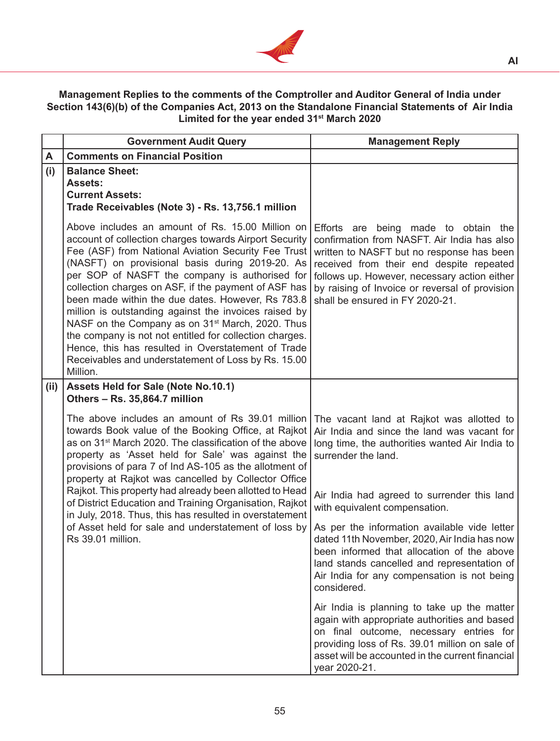

**AI**

# **Management Replies to the comments of the Comptroller and Auditor General of India under Section 143(6)(b) of the Companies Act, 2013 on the Standalone Financial Statements of Air India Limited for the year ended 31st March 2020**

|      | <b>Government Audit Query</b>                                                                                                                                                                                                                                                                                                                                                                                                                                                                                                                                                                                                                                                                    | <b>Management Reply</b>                                                                                                                                                                                                                                                                                           |
|------|--------------------------------------------------------------------------------------------------------------------------------------------------------------------------------------------------------------------------------------------------------------------------------------------------------------------------------------------------------------------------------------------------------------------------------------------------------------------------------------------------------------------------------------------------------------------------------------------------------------------------------------------------------------------------------------------------|-------------------------------------------------------------------------------------------------------------------------------------------------------------------------------------------------------------------------------------------------------------------------------------------------------------------|
| A    | <b>Comments on Financial Position</b>                                                                                                                                                                                                                                                                                                                                                                                                                                                                                                                                                                                                                                                            |                                                                                                                                                                                                                                                                                                                   |
| (i)  | <b>Balance Sheet:</b><br><b>Assets:</b><br><b>Current Assets:</b><br>Trade Receivables (Note 3) - Rs. 13,756.1 million                                                                                                                                                                                                                                                                                                                                                                                                                                                                                                                                                                           |                                                                                                                                                                                                                                                                                                                   |
|      | Above includes an amount of Rs. 15.00 Million on<br>account of collection charges towards Airport Security<br>Fee (ASF) from National Aviation Security Fee Trust<br>(NASFT) on provisional basis during 2019-20. As<br>per SOP of NASFT the company is authorised for<br>collection charges on ASF, if the payment of ASF has<br>been made within the due dates. However, Rs 783.8<br>million is outstanding against the invoices raised by<br>NASF on the Company as on 31 <sup>st</sup> March, 2020. Thus<br>the company is not not entitled for collection charges.<br>Hence, this has resulted in Overstatement of Trade<br>Receivables and understatement of Loss by Rs. 15.00<br>Million. | Efforts are being made to obtain the<br>confirmation from NASFT. Air India has also<br>written to NASFT but no response has been<br>received from their end despite repeated<br>follows up. However, necessary action either<br>by raising of Invoice or reversal of provision<br>shall be ensured in FY 2020-21. |
| (ii) | Assets Held for Sale (Note No.10.1)<br>Others - Rs. 35,864.7 million                                                                                                                                                                                                                                                                                                                                                                                                                                                                                                                                                                                                                             |                                                                                                                                                                                                                                                                                                                   |
|      | The above includes an amount of Rs 39.01 million<br>towards Book value of the Booking Office, at Rajkot<br>as on 31 <sup>st</sup> March 2020. The classification of the above<br>property as 'Asset held for Sale' was against the<br>provisions of para 7 of Ind AS-105 as the allotment of<br>property at Rajkot was cancelled by Collector Office                                                                                                                                                                                                                                                                                                                                             | The vacant land at Rajkot was allotted to<br>Air India and since the land was vacant for<br>long time, the authorities wanted Air India to<br>surrender the land.                                                                                                                                                 |
|      | Rajkot. This property had already been allotted to Head<br>of District Education and Training Organisation, Rajkot<br>in July, 2018. Thus, this has resulted in overstatement                                                                                                                                                                                                                                                                                                                                                                                                                                                                                                                    | Air India had agreed to surrender this land<br>with equivalent compensation.                                                                                                                                                                                                                                      |
|      | of Asset held for sale and understatement of loss by<br>Rs 39.01 million.                                                                                                                                                                                                                                                                                                                                                                                                                                                                                                                                                                                                                        | As per the information available vide letter<br>dated 11th November, 2020, Air India has now<br>been informed that allocation of the above<br>land stands cancelled and representation of<br>Air India for any compensation is not being<br>considered.                                                           |
|      |                                                                                                                                                                                                                                                                                                                                                                                                                                                                                                                                                                                                                                                                                                  | Air India is planning to take up the matter<br>again with appropriate authorities and based<br>on final outcome, necessary entries for<br>providing loss of Rs. 39.01 million on sale of<br>asset will be accounted in the current financial<br>year 2020-21.                                                     |